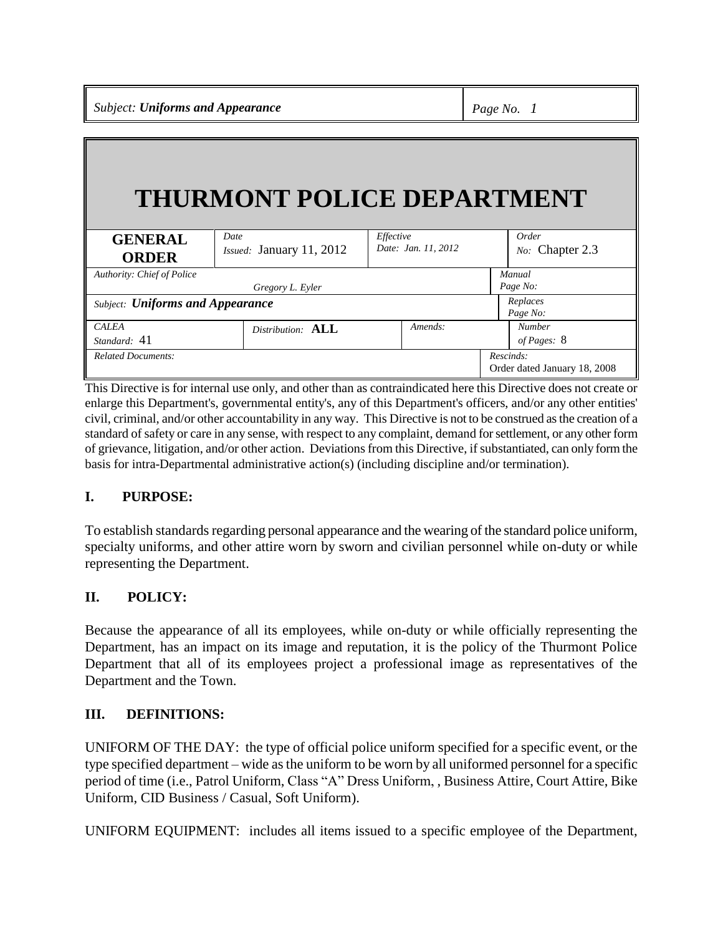*Subject: Uniforms and Appearance Page No. 1*

# **THURMONT POLICE DEPARTMENT**

| <b>GENERAL</b>                          | Date                         | Effective           | Order                        |
|-----------------------------------------|------------------------------|---------------------|------------------------------|
| <b>ORDER</b>                            | Issued: January 11, 2012     | Date: Jan. 11, 2012 | No: Chapter 2.3              |
| Authority: Chief of Police              |                              |                     | Manual                       |
|                                         | Gregory L. Eyler             |                     | Page No:                     |
| <b>Subject: Uniforms and Appearance</b> |                              |                     | Replaces<br>Page No:         |
| <b>CALEA</b>                            | Distribution: $\mathbf{ALL}$ | Amends:             | <b>Number</b>                |
| Standard: 41                            |                              |                     | of Pages: 8                  |
| <b>Related Documents:</b>               |                              |                     | Rescinds:                    |
|                                         |                              |                     | Order dated January 18, 2008 |

This Directive is for internal use only, and other than as contraindicated here this Directive does not create or enlarge this Department's, governmental entity's, any of this Department's officers, and/or any other entities' civil, criminal, and/or other accountability in any way. This Directive is not to be construed as the creation of a standard of safety or care in any sense, with respect to any complaint, demand for settlement, or any other form of grievance, litigation, and/or other action. Deviations from this Directive, if substantiated, can only form the basis for intra-Departmental administrative action(s) (including discipline and/or termination).

## **I. PURPOSE:**

To establish standards regarding personal appearance and the wearing of the standard police uniform, specialty uniforms, and other attire worn by sworn and civilian personnel while on-duty or while representing the Department.

## **II. POLICY:**

Because the appearance of all its employees, while on-duty or while officially representing the Department, has an impact on its image and reputation, it is the policy of the Thurmont Police Department that all of its employees project a professional image as representatives of the Department and the Town.

## **III. DEFINITIONS:**

UNIFORM OF THE DAY: the type of official police uniform specified for a specific event, or the type specified department – wide as the uniform to be worn by all uniformed personnel for a specific period of time (i.e., Patrol Uniform, Class "A" Dress Uniform, , Business Attire, Court Attire, Bike Uniform, CID Business / Casual, Soft Uniform).

UNIFORM EQUIPMENT: includes all items issued to a specific employee of the Department,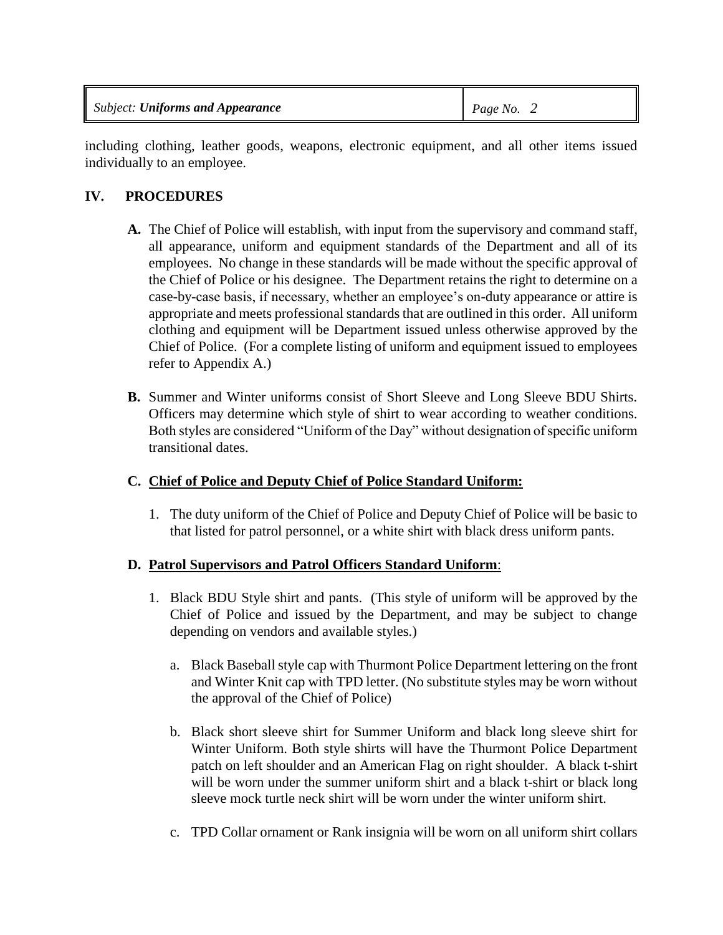| <b>Subject: Uniforms and Appearance</b> | Page No. |
|-----------------------------------------|----------|
|-----------------------------------------|----------|

including clothing, leather goods, weapons, electronic equipment, and all other items issued individually to an employee.

## **IV. PROCEDURES**

- **A.** The Chief of Police will establish, with input from the supervisory and command staff, all appearance, uniform and equipment standards of the Department and all of its employees. No change in these standards will be made without the specific approval of the Chief of Police or his designee. The Department retains the right to determine on a case-by-case basis, if necessary, whether an employee's on-duty appearance or attire is appropriate and meets professional standards that are outlined in this order. All uniform clothing and equipment will be Department issued unless otherwise approved by the Chief of Police. (For a complete listing of uniform and equipment issued to employees refer to Appendix A.)
- **B.** Summer and Winter uniforms consist of Short Sleeve and Long Sleeve BDU Shirts. Officers may determine which style of shirt to wear according to weather conditions. Both styles are considered "Uniform of the Day" without designation of specific uniform transitional dates.

## **C. Chief of Police and Deputy Chief of Police Standard Uniform:**

1. The duty uniform of the Chief of Police and Deputy Chief of Police will be basic to that listed for patrol personnel, or a white shirt with black dress uniform pants.

## **D. Patrol Supervisors and Patrol Officers Standard Uniform**:

- 1. Black BDU Style shirt and pants. (This style of uniform will be approved by the Chief of Police and issued by the Department, and may be subject to change depending on vendors and available styles.)
	- a. Black Baseball style cap with Thurmont Police Department lettering on the front and Winter Knit cap with TPD letter. (No substitute styles may be worn without the approval of the Chief of Police)
	- b. Black short sleeve shirt for Summer Uniform and black long sleeve shirt for Winter Uniform. Both style shirts will have the Thurmont Police Department patch on left shoulder and an American Flag on right shoulder. A black t-shirt will be worn under the summer uniform shirt and a black t-shirt or black long sleeve mock turtle neck shirt will be worn under the winter uniform shirt.
	- c. TPD Collar ornament or Rank insignia will be worn on all uniform shirt collars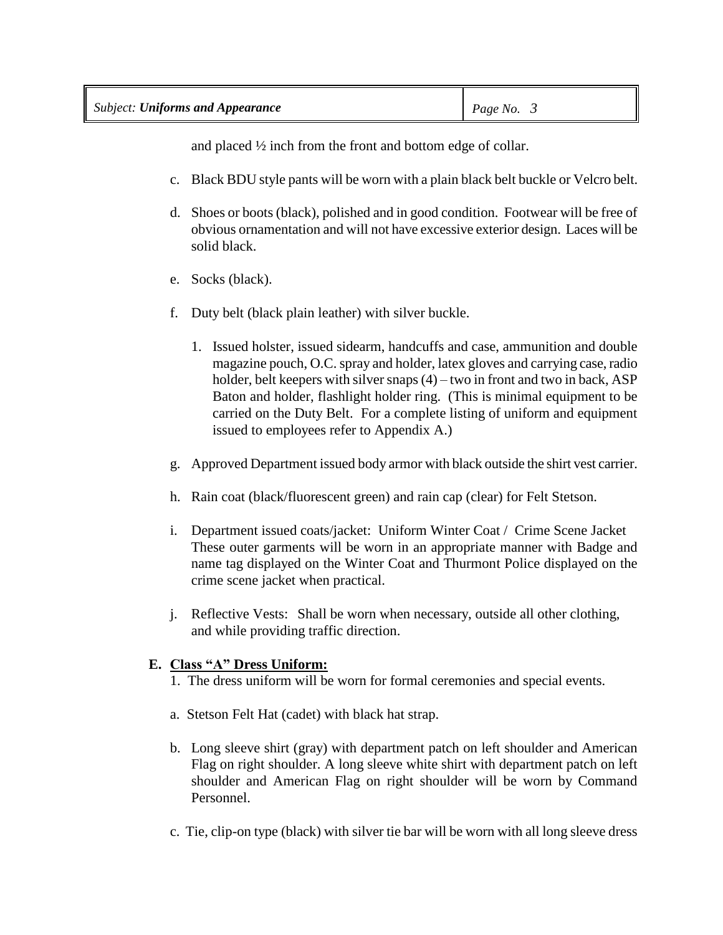| <b>Subject: Uniforms and Appearance</b> | Page No. |
|-----------------------------------------|----------|
|-----------------------------------------|----------|

and placed ½ inch from the front and bottom edge of collar.

- c. Black BDU style pants will be worn with a plain black belt buckle or Velcro belt.
- d. Shoes or boots (black), polished and in good condition. Footwear will be free of obvious ornamentation and will not have excessive exterior design. Laces will be solid black.
- e. Socks (black).
- f. Duty belt (black plain leather) with silver buckle.
	- 1. Issued holster, issued sidearm, handcuffs and case, ammunition and double magazine pouch, O.C. spray and holder, latex gloves and carrying case, radio holder, belt keepers with silver snaps (4) – two in front and two in back, ASP Baton and holder, flashlight holder ring. (This is minimal equipment to be carried on the Duty Belt. For a complete listing of uniform and equipment issued to employees refer to Appendix A.)
- g. Approved Department issued body armor with black outside the shirt vest carrier.
- h. Rain coat (black/fluorescent green) and rain cap (clear) for Felt Stetson.
- i. Department issued coats/jacket: Uniform Winter Coat / Crime Scene Jacket These outer garments will be worn in an appropriate manner with Badge and name tag displayed on the Winter Coat and Thurmont Police displayed on the crime scene jacket when practical.
- j. Reflective Vests: Shall be worn when necessary, outside all other clothing, and while providing traffic direction.

#### **E. Class "A" Dress Uniform:**

- 1. The dress uniform will be worn for formal ceremonies and special events.
- a. Stetson Felt Hat (cadet) with black hat strap.
- b. Long sleeve shirt (gray) with department patch on left shoulder and American Flag on right shoulder. A long sleeve white shirt with department patch on left shoulder and American Flag on right shoulder will be worn by Command Personnel.
- c. Tie, clip-on type (black) with silver tie bar will be worn with all long sleeve dress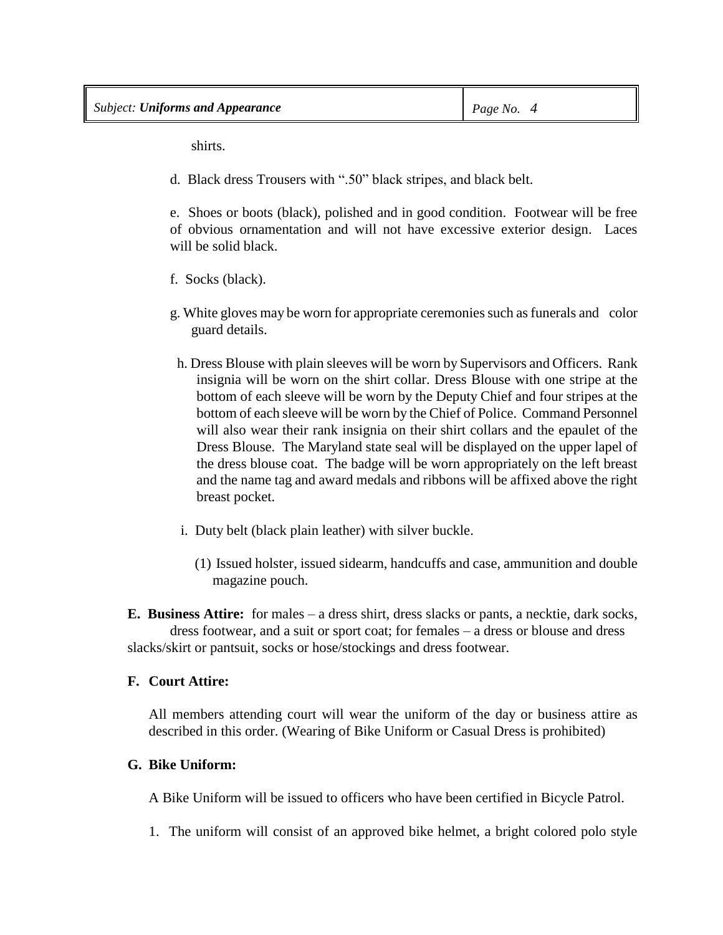shirts.

d. Black dress Trousers with ".50" black stripes, and black belt.

e. Shoes or boots (black), polished and in good condition. Footwear will be free of obvious ornamentation and will not have excessive exterior design. Laces will be solid black.

- f. Socks (black).
- g. White gloves may be worn for appropriate ceremonies such as funerals and color guard details.
- h. Dress Blouse with plain sleeves will be worn by Supervisors and Officers. Rank insignia will be worn on the shirt collar. Dress Blouse with one stripe at the bottom of each sleeve will be worn by the Deputy Chief and four stripes at the bottom of each sleeve will be worn by the Chief of Police. Command Personnel will also wear their rank insignia on their shirt collars and the epaulet of the Dress Blouse. The Maryland state seal will be displayed on the upper lapel of the dress blouse coat. The badge will be worn appropriately on the left breast and the name tag and award medals and ribbons will be affixed above the right breast pocket.
- i. Duty belt (black plain leather) with silver buckle.
	- (1) Issued holster, issued sidearm, handcuffs and case, ammunition and double magazine pouch.

**E. Business Attire:** for males – a dress shirt, dress slacks or pants, a necktie, dark socks, dress footwear, and a suit or sport coat; for females – a dress or blouse and dress slacks/skirt or pantsuit, socks or hose/stockings and dress footwear.

#### **F. Court Attire:**

All members attending court will wear the uniform of the day or business attire as described in this order. (Wearing of Bike Uniform or Casual Dress is prohibited)

## **G. Bike Uniform:**

A Bike Uniform will be issued to officers who have been certified in Bicycle Patrol.

1. The uniform will consist of an approved bike helmet, a bright colored polo style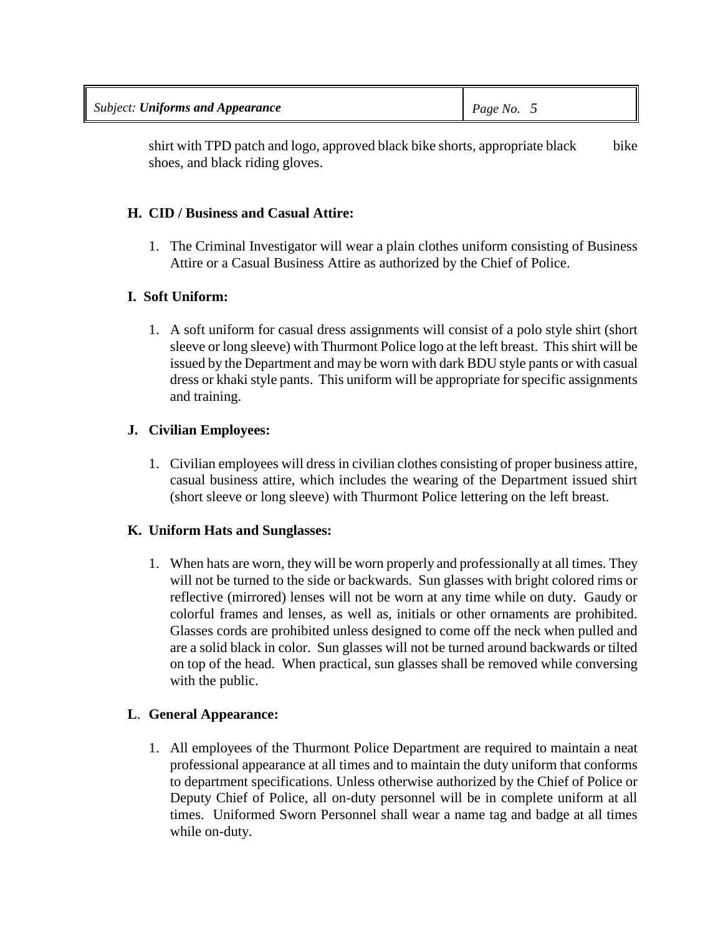| <b>Subject: Uniforms and Appearance</b> | Page No. |
|-----------------------------------------|----------|
|-----------------------------------------|----------|

shirt with TPD patch and logo, approved black bike shorts, appropriate black bike shoes, and black riding gloves.

#### **H. CID / Business and Casual Attire:**

1. The Criminal Investigator will wear a plain clothes uniform consisting of Business Attire or a Casual Business Attire as authorized by the Chief of Police.

#### **I. Soft Uniform:**

1. A soft uniform for casual dress assignments will consist of a polo style shirt (short sleeve or long sleeve) with Thurmont Police logo at the left breast. This shirt will be issued by the Department and may be worn with dark BDU style pants or with casual dress or khaki style pants. This uniform will be appropriate for specific assignments and training.

#### **J. Civilian Employees:**

1. Civilian employees will dress in civilian clothes consisting of proper business attire, casual business attire, which includes the wearing of the Department issued shirt (short sleeve or long sleeve) with Thurmont Police lettering on the left breast.

#### **K. Uniform Hats and Sunglasses:**

1. When hats are worn, they will be worn properly and professionally at all times. They will not be turned to the side or backwards. Sun glasses with bright colored rims or reflective (mirrored) lenses will not be worn at any time while on duty. Gaudy or colorful frames and lenses, as well as, initials or other ornaments are prohibited. Glasses cords are prohibited unless designed to come off the neck when pulled and are a solid black in color. Sun glasses will not be turned around backwards or tilted on top of the head. When practical, sun glasses shall be removed while conversing with the public.

## **L**. **General Appearance:**

1. All employees of the Thurmont Police Department are required to maintain a neat professional appearance at all times and to maintain the duty uniform that conforms to department specifications. Unless otherwise authorized by the Chief of Police or Deputy Chief of Police, all on-duty personnel will be in complete uniform at all times. Uniformed Sworn Personnel shall wear a name tag and badge at all times while on-duty.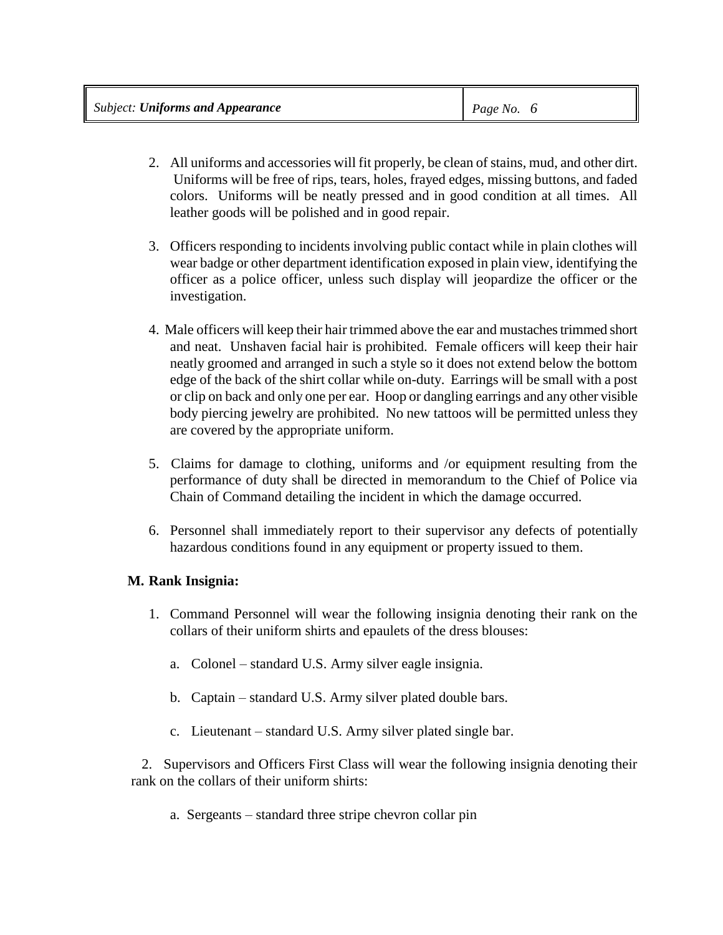|  | <b>Subject: Uniforms and Appearance</b> | Page No. $6$ |
|--|-----------------------------------------|--------------|
|--|-----------------------------------------|--------------|

- 2. All uniforms and accessories will fit properly, be clean of stains, mud, and other dirt. Uniforms will be free of rips, tears, holes, frayed edges, missing buttons, and faded colors. Uniforms will be neatly pressed and in good condition at all times. All leather goods will be polished and in good repair.
- 3. Officers responding to incidents involving public contact while in plain clothes will wear badge or other department identification exposed in plain view, identifying the officer as a police officer, unless such display will jeopardize the officer or the investigation.
- 4. Male officers will keep their hair trimmed above the ear and mustaches trimmed short and neat. Unshaven facial hair is prohibited. Female officers will keep their hair neatly groomed and arranged in such a style so it does not extend below the bottom edge of the back of the shirt collar while on-duty. Earrings will be small with a post or clip on back and only one per ear. Hoop or dangling earrings and any other visible body piercing jewelry are prohibited. No new tattoos will be permitted unless they are covered by the appropriate uniform.
- 5. Claims for damage to clothing, uniforms and /or equipment resulting from the performance of duty shall be directed in memorandum to the Chief of Police via Chain of Command detailing the incident in which the damage occurred.
- 6. Personnel shall immediately report to their supervisor any defects of potentially hazardous conditions found in any equipment or property issued to them.

## **M. Rank Insignia:**

- 1. Command Personnel will wear the following insignia denoting their rank on the collars of their uniform shirts and epaulets of the dress blouses:
	- a. Colonel standard U.S. Army silver eagle insignia.
	- b. Captain standard U.S. Army silver plated double bars.
	- c. Lieutenant standard U.S. Army silver plated single bar.

 2. Supervisors and Officers First Class will wear the following insignia denoting their rank on the collars of their uniform shirts:

a. Sergeants – standard three stripe chevron collar pin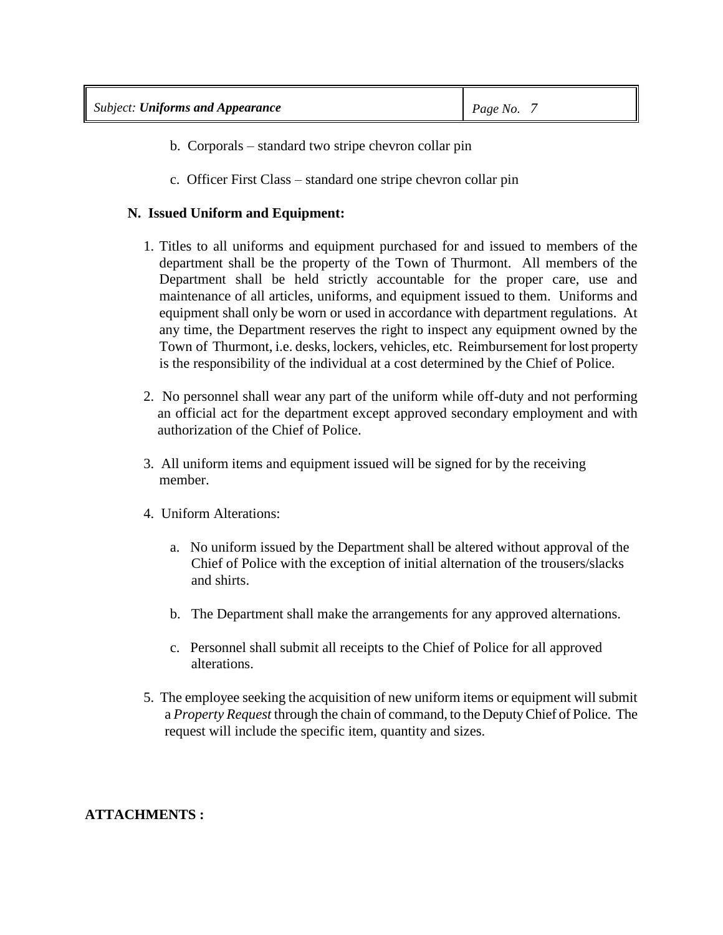- b. Corporals standard two stripe chevron collar pin
- c. Officer First Class standard one stripe chevron collar pin

## **N. Issued Uniform and Equipment:**

- 1. Titles to all uniforms and equipment purchased for and issued to members of the department shall be the property of the Town of Thurmont. All members of the Department shall be held strictly accountable for the proper care, use and maintenance of all articles, uniforms, and equipment issued to them. Uniforms and equipment shall only be worn or used in accordance with department regulations. At any time, the Department reserves the right to inspect any equipment owned by the Town of Thurmont, i.e. desks, lockers, vehicles, etc. Reimbursement for lost property is the responsibility of the individual at a cost determined by the Chief of Police.
- 2. No personnel shall wear any part of the uniform while off-duty and not performing an official act for the department except approved secondary employment and with authorization of the Chief of Police.
- 3. All uniform items and equipment issued will be signed for by the receiving member.
- 4. Uniform Alterations:
	- a. No uniform issued by the Department shall be altered without approval of the Chief of Police with the exception of initial alternation of the trousers/slacks and shirts.
	- b. The Department shall make the arrangements for any approved alternations.
	- c. Personnel shall submit all receipts to the Chief of Police for all approved alterations.
- 5. The employee seeking the acquisition of new uniform items or equipment will submit a *Property Request* through the chain of command, to the Deputy Chief of Police. The request will include the specific item, quantity and sizes.

## **ATTACHMENTS :**